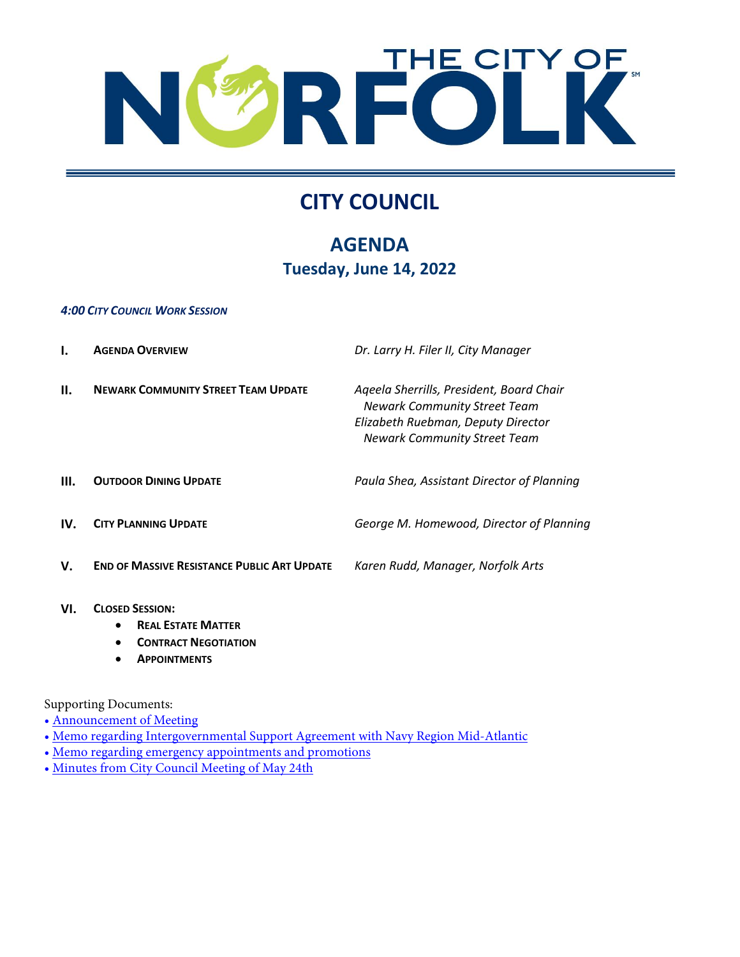

# **CITY COUNCIL**

## **AGENDA Tuesday, June 14, 2022**

#### *4:00 CITY COUNCIL WORK SESSION*

|     | <b>AGENDA OVERVIEW</b>                             | Dr. Larry H. Filer II, City Manager                                                                                                                          |
|-----|----------------------------------------------------|--------------------------------------------------------------------------------------------------------------------------------------------------------------|
| Н.  | <b>NEWARK COMMUNITY STREET TEAM UPDATE</b>         | Ageela Sherrills, President, Board Chair<br><b>Newark Community Street Team</b><br>Elizabeth Ruebman, Deputy Director<br><b>Newark Community Street Team</b> |
| Ш.  | <b>OUTDOOR DINING UPDATE</b>                       | Paula Shea, Assistant Director of Planning                                                                                                                   |
| IV. | <b>CITY PLANNING UPDATE</b>                        | George M. Homewood, Director of Planning                                                                                                                     |
| V.  | <b>END OF MASSIVE RESISTANCE PUBLIC ART UPDATE</b> | Karen Rudd, Manager, Norfolk Arts                                                                                                                            |
|     |                                                    |                                                                                                                                                              |

- **VI. CLOSED SESSION:**
	- **REAL ESTATE MATTER**
	- **CONTRACT NEGOTIATION**
	- **APPOINTMENTS**

Supporting Documents:

- • [Announcement of Meeting](https://www.norfolk.gov/DocumentCenter/View/71588/6-14-2022-Announcement-of-Meeting)
- • [Memo regarding Intergovernmental Support Agreement with Navy Region Mid-Atlantic](https://www.norfolk.gov/DocumentCenter/View/71608/6-14-2022-R-1-Memo-regarding-Intergovernmental-Support-Agreement-with-Navy-Region-Mid-Atlantic)
- • [Memo regarding emergency appointments and promotions](https://www.norfolk.gov/DocumentCenter/View/71609/6-14-2022-R-10---Memo-regarding-emergency-appointments-and-promotions)
- • [Minutes from City Council Meeting of May 24th](https://www.norfolk.gov/DocumentCenter/View/71610/6-14-2022-Minutes-from-City-Council-Meeting-of-May-24th)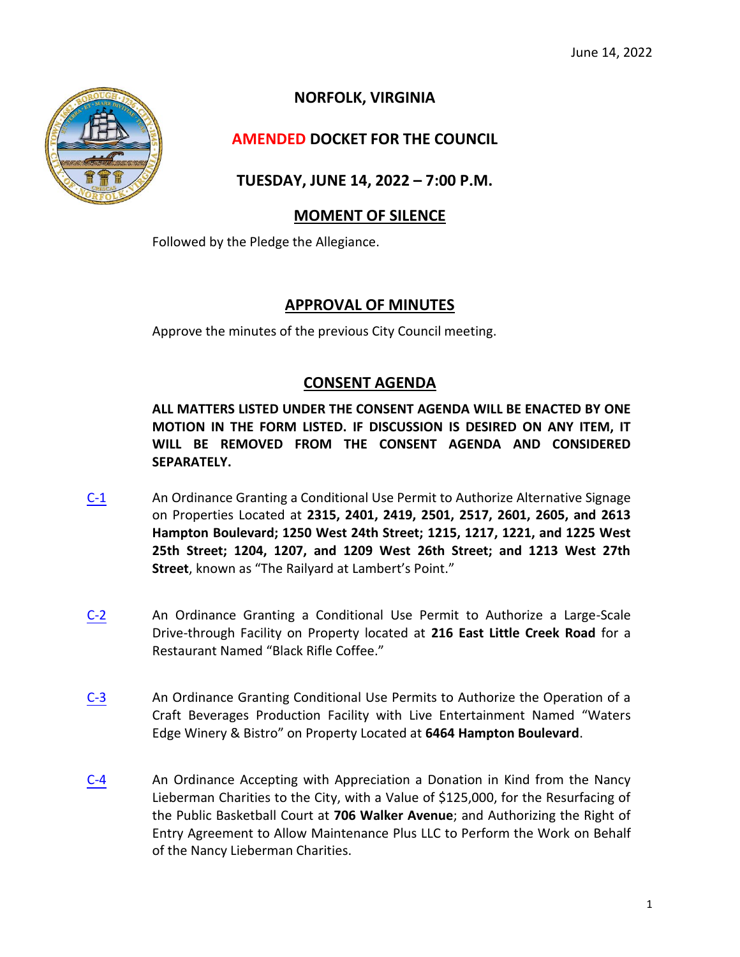

**NORFOLK, VIRGINIA**

### **AMENDED DOCKET FOR THE COUNCIL**

**TUESDAY, JUNE 14, 2022 – 7:00 P.M.**

#### **MOMENT OF SILENCE**

Followed by the Pledge the Allegiance.

#### **APPROVAL OF MINUTES**

Approve the minutes of the previous City Council meeting.

#### **CONSENT AGENDA**

**ALL MATTERS LISTED UNDER THE CONSENT AGENDA WILL BE ENACTED BY ONE MOTION IN THE FORM LISTED. IF DISCUSSION IS DESIRED ON ANY ITEM, IT WILL BE REMOVED FROM THE CONSENT AGENDA AND CONSIDERED SEPARATELY.**

- [C-1](https://www.norfolk.gov/DocumentCenter/View/71604/C-1-Conditional-Use-Permit---Railyards-at-Lamberts-Point) An Ordinance Granting a Conditional Use Permit to Authorize Alternative Signage on Properties Located at **2315, 2401, 2419, 2501, 2517, 2601, 2605, and 2613 Hampton Boulevard; 1250 West 24th Street; 1215, 1217, 1221, and 1225 West 25th Street; 1204, 1207, and 1209 West 26th Street; and 1213 West 27th Street**, known as "The Railyard at Lambert's Point."
- [C-2](https://www.norfolk.gov/DocumentCenter/View/71590/C-2-Conditional-Use-Permit---Black-Rifle-Coffee) An Ordinance Granting a Conditional Use Permit to Authorize a Large-Scale Drive-through Facility on Property located at **216 East Little Creek Road** for a Restaurant Named "Black Rifle Coffee."
- [C-3](https://www.norfolk.gov/DocumentCenter/View/71605/C-3-Conditional-Use-Permit---Waters-Edge-Winery-and-Bistro) An Ordinance Granting Conditional Use Permits to Authorize the Operation of a Craft Beverages Production Facility with Live Entertainment Named "Waters Edge Winery & Bistro" on Property Located at **6464 Hampton Boulevard**.
- [C-4](https://www.norfolk.gov/DocumentCenter/View/71591/C-4-Acceptance-of-a-donation-from-the-Nancy-Lieberman-Charites---Dream-Court) An Ordinance Accepting with Appreciation a Donation in Kind from the Nancy Lieberman Charities to the City, with a Value of \$125,000, for the Resurfacing of the Public Basketball Court at **706 Walker Avenue**; and Authorizing the Right of Entry Agreement to Allow Maintenance Plus LLC to Perform the Work on Behalf of the Nancy Lieberman Charities.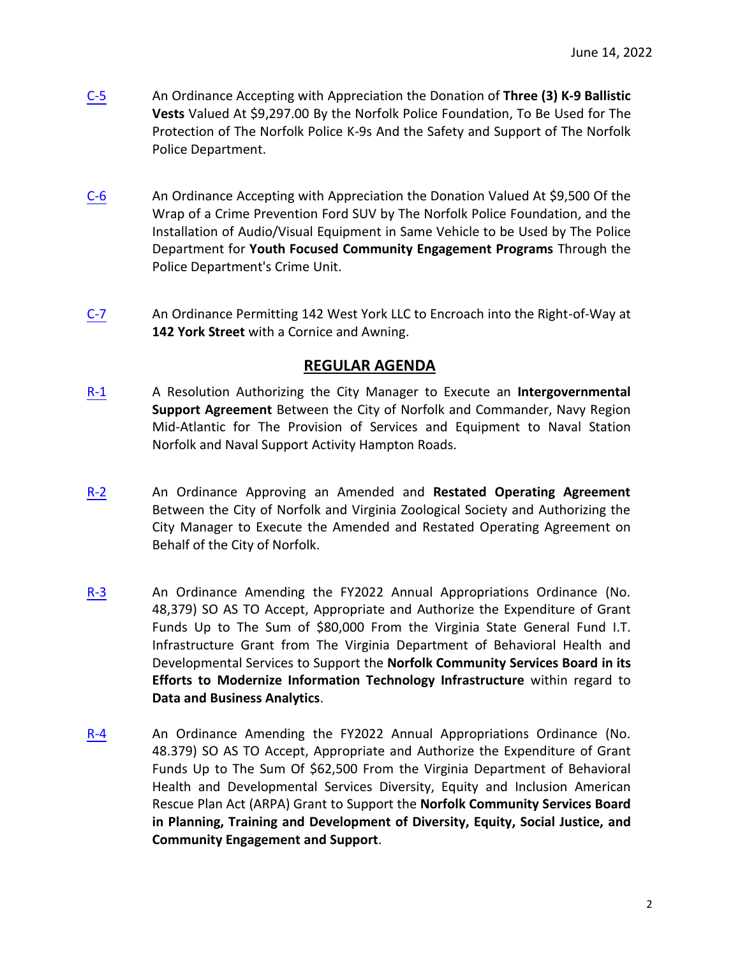- [C-5](https://www.norfolk.gov/DocumentCenter/View/71592/C-5-Donation-of-3-K-9-Ballistic-Vests) An Ordinance Accepting with Appreciation the Donation of **Three (3) K-9 Ballistic Vests** Valued At \$9,297.00 By the Norfolk Police Foundation, To Be Used for The Protection of The Norfolk Police K-9s And the Safety and Support of The Norfolk Police Department.
- [C-6](https://www.norfolk.gov/DocumentCenter/View/71593/C-6-Donation-of-Vehicle-Wrap-and-audio-visual-equipment-to-NPD) An Ordinance Accepting with Appreciation the Donation Valued At \$9,500 Of the Wrap of a Crime Prevention Ford SUV by The Norfolk Police Foundation, and the Installation of Audio/Visual Equipment in Same Vehicle to be Used by The Police Department for **Youth Focused Community Engagement Programs** Through the Police Department's Crime Unit.
- [C-7](https://www.norfolk.gov/DocumentCenter/View/71594/C-7-Encroachment-at-142-York-Street) An Ordinance Permitting 142 West York LLC to Encroach into the Right-of-Way at **142 York Street** with a Cornice and Awning.

#### **REGULAR AGENDA**

- [R-1](https://www.norfolk.gov/DocumentCenter/View/71595/R-1-Intergovernmental-Support-Agreement-with-Navy-Region-Mid-Atlantic) A Resolution Authorizing the City Manager to Execute an **Intergovernmental Support Agreement** Between the City of Norfolk and Commander, Navy Region Mid-Atlantic for The Provision of Services and Equipment to Naval Station Norfolk and Naval Support Activity Hampton Roads.
- [R-2](https://www.norfolk.gov/DocumentCenter/View/71596/R-2-Amended-Operating-Agreement-with-Virginia-Zoo) An Ordinance Approving an Amended and **Restated Operating Agreement** Between the City of Norfolk and Virginia Zoological Society and Authorizing the City Manager to Execute the Amended and Restated Operating Agreement on Behalf of the City of Norfolk.
- [R-3](https://www.norfolk.gov/DocumentCenter/View/71597/R-3-Acceptance-of-an-IT-Infrastructure-Grant-to-NCSB) An Ordinance Amending the FY2022 Annual Appropriations Ordinance (No. 48,379) SO AS TO Accept, Appropriate and Authorize the Expenditure of Grant Funds Up to The Sum of \$80,000 From the Virginia State General Fund I.T. Infrastructure Grant from The Virginia Department of Behavioral Health and Developmental Services to Support the **Norfolk Community Services Board in its Efforts to Modernize Information Technology Infrastructure** within regard to **Data and Business Analytics**.
- [R-4](https://www.norfolk.gov/DocumentCenter/View/71598/R-4-Acceptance-of-a-Diversity-Equity-and-Inclusion-Grant-to-NCSB) An Ordinance Amending the FY2022 Annual Appropriations Ordinance (No. 48.379) SO AS TO Accept, Appropriate and Authorize the Expenditure of Grant Funds Up to The Sum Of \$62,500 From the Virginia Department of Behavioral Health and Developmental Services Diversity, Equity and Inclusion American Rescue Plan Act (ARPA) Grant to Support the **Norfolk Community Services Board in Planning, Training and Development of Diversity, Equity, Social Justice, and Community Engagement and Support**.